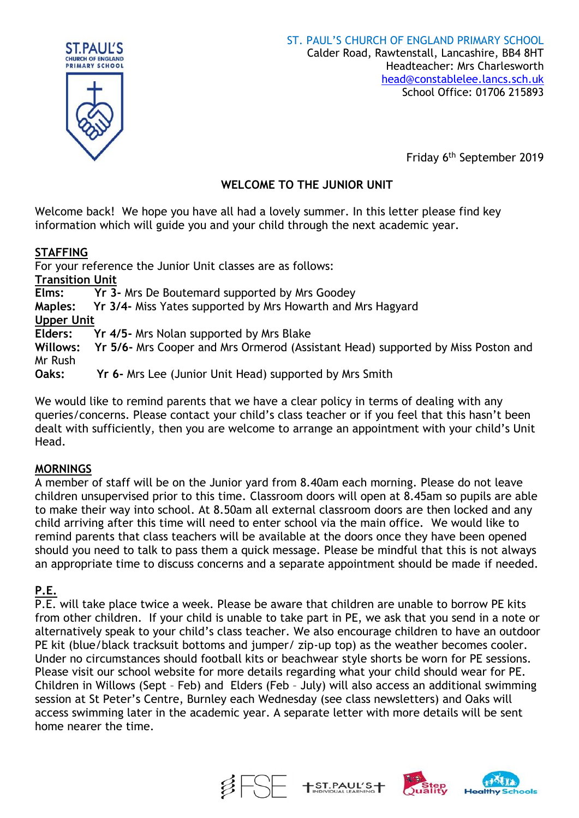

Friday 6 th September 2019

# **WELCOME TO THE JUNIOR UNIT**

Welcome back! We hope you have all had a lovely summer. In this letter please find key information which will guide you and your child through the next academic year.

# **STAFFING**

For your reference the Junior Unit classes are as follows: **Transition Unit Elms: Yr 3-** Mrs De Boutemard supported by Mrs Goodey **Maples: Yr 3/4-** Miss Yates supported by Mrs Howarth and Mrs Hagyard **Upper Unit Elders: Yr 4/5-** Mrs Nolan supported by Mrs Blake **Willows: Yr 5/6-** Mrs Cooper and Mrs Ormerod (Assistant Head) supported by Miss Poston and Mr Rush

**Oaks: Yr 6-** Mrs Lee (Junior Unit Head) supported by Mrs Smith

We would like to remind parents that we have a clear policy in terms of dealing with any queries/concerns. Please contact your child's class teacher or if you feel that this hasn't been dealt with sufficiently, then you are welcome to arrange an appointment with your child's Unit Head.

# **MORNINGS**

A member of staff will be on the Junior yard from 8.40am each morning. Please do not leave children unsupervised prior to this time. Classroom doors will open at 8.45am so pupils are able to make their way into school. At 8.50am all external classroom doors are then locked and any child arriving after this time will need to enter school via the main office. We would like to remind parents that class teachers will be available at the doors once they have been opened should you need to talk to pass them a quick message. Please be mindful that this is not always an appropriate time to discuss concerns and a separate appointment should be made if needed.

# **P.E.**

P.E. will take place twice a week. Please be aware that children are unable to borrow PE kits from other children. If your child is unable to take part in PE, we ask that you send in a note or alternatively speak to your child's class teacher. We also encourage children to have an outdoor PE kit (blue/black tracksuit bottoms and jumper/ zip-up top) as the weather becomes cooler. Under no circumstances should football kits or beachwear style shorts be worn for PE sessions. Please visit our school website for more details regarding what your child should wear for PE. Children in Willows (Sept – Feb) and Elders (Feb – July) will also access an additional swimming session at St Peter's Centre, Burnley each Wednesday (see class newsletters) and Oaks will access swimming later in the academic year. A separate letter with more details will be sent home nearer the time.





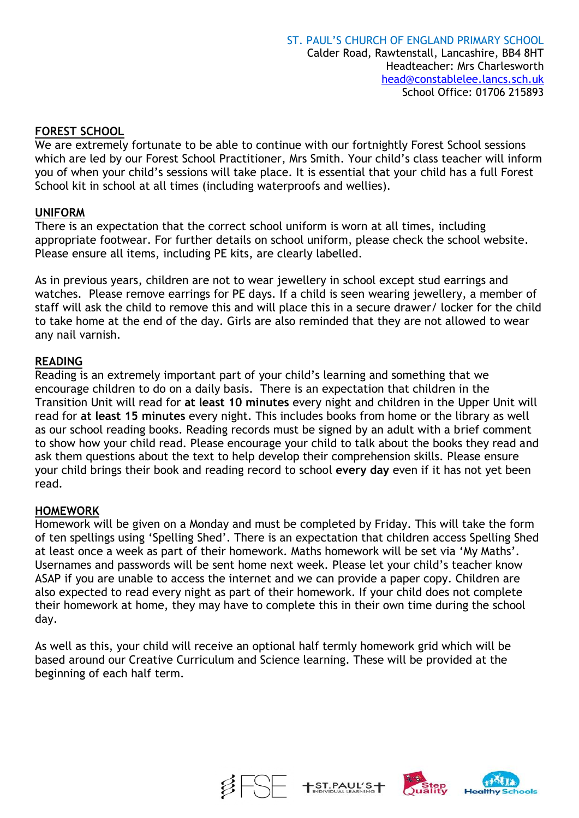# **FOREST SCHOOL**

We are extremely fortunate to be able to continue with our fortnightly Forest School sessions which are led by our Forest School Practitioner, Mrs Smith. Your child's class teacher will inform you of when your child's sessions will take place. It is essential that your child has a full Forest School kit in school at all times (including waterproofs and wellies).

# **UNIFORM**

There is an expectation that the correct school uniform is worn at all times, including appropriate footwear. For further details on school uniform, please check the school website. Please ensure all items, including PE kits, are clearly labelled.

As in previous years, children are not to wear jewellery in school except stud earrings and watches. Please remove earrings for PE days. If a child is seen wearing jewellery, a member of staff will ask the child to remove this and will place this in a secure drawer/ locker for the child to take home at the end of the day. Girls are also reminded that they are not allowed to wear any nail varnish.

# **READING**

Reading is an extremely important part of your child's learning and something that we encourage children to do on a daily basis. There is an expectation that children in the Transition Unit will read for **at least 10 minutes** every night and children in the Upper Unit will read for **at least 15 minutes** every night. This includes books from home or the library as well as our school reading books. Reading records must be signed by an adult with a brief comment to show how your child read. Please encourage your child to talk about the books they read and ask them questions about the text to help develop their comprehension skills. Please ensure your child brings their book and reading record to school **every day** even if it has not yet been read.

# **HOMEWORK**

Homework will be given on a Monday and must be completed by Friday. This will take the form of ten spellings using 'Spelling Shed'. There is an expectation that children access Spelling Shed at least once a week as part of their homework. Maths homework will be set via 'My Maths'. Usernames and passwords will be sent home next week. Please let your child's teacher know ASAP if you are unable to access the internet and we can provide a paper copy. Children are also expected to read every night as part of their homework. If your child does not complete their homework at home, they may have to complete this in their own time during the school day.

As well as this, your child will receive an optional half termly homework grid which will be based around our Creative Curriculum and Science learning. These will be provided at the beginning of each half term.